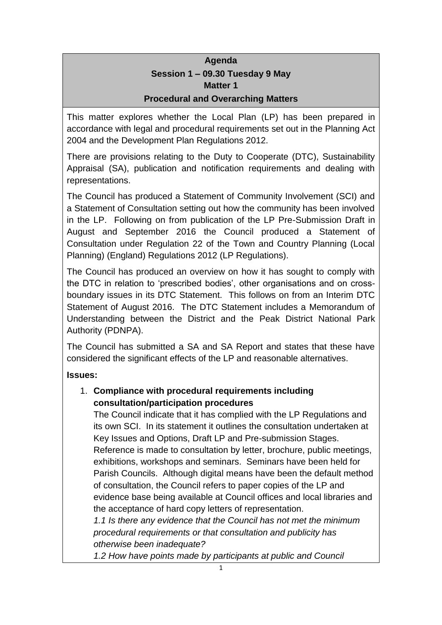# **Agenda Session 1 – 09.30 Tuesday 9 May Matter 1 Procedural and Overarching Matters**

This matter explores whether the Local Plan (LP) has been prepared in accordance with legal and procedural requirements set out in the Planning Act 2004 and the Development Plan Regulations 2012.

There are provisions relating to the Duty to Cooperate (DTC), Sustainability Appraisal (SA), publication and notification requirements and dealing with representations.

The Council has produced a Statement of Community Involvement (SCI) and a Statement of Consultation setting out how the community has been involved in the LP. Following on from publication of the LP Pre-Submission Draft in August and September 2016 the Council produced a Statement of Consultation under Regulation 22 of the Town and Country Planning (Local Planning) (England) Regulations 2012 (LP Regulations).

The Council has produced an overview on how it has sought to comply with the DTC in relation to 'prescribed bodies', other organisations and on crossboundary issues in its DTC Statement. This follows on from an Interim DTC Statement of August 2016. The DTC Statement includes a Memorandum of Understanding between the District and the Peak District National Park Authority (PDNPA).

The Council has submitted a SA and SA Report and states that these have considered the significant effects of the LP and reasonable alternatives.

**Issues:**

### 1. **Compliance with procedural requirements including consultation/participation procedures**

The Council indicate that it has complied with the LP Regulations and its own SCI. In its statement it outlines the consultation undertaken at Key Issues and Options, Draft LP and Pre-submission Stages. Reference is made to consultation by letter, brochure, public meetings, exhibitions, workshops and seminars. Seminars have been held for Parish Councils. Although digital means have been the default method of consultation, the Council refers to paper copies of the LP and evidence base being available at Council offices and local libraries and the acceptance of hard copy letters of representation.

*1.1 Is there any evidence that the Council has not met the minimum procedural requirements or that consultation and publicity has otherwise been inadequate?*

*1.2 How have points made by participants at public and Council*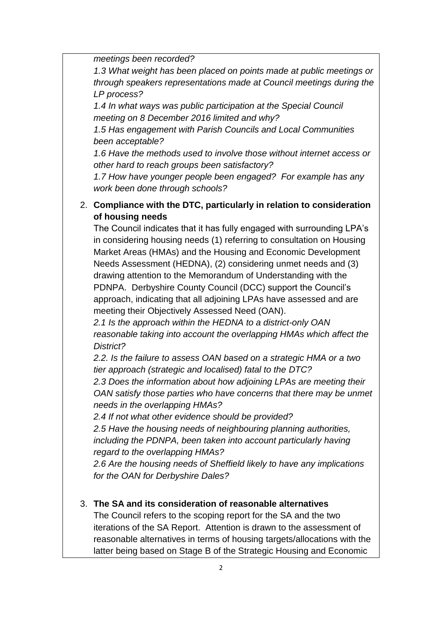*meetings been recorded?*

*1.3 What weight has been placed on points made at public meetings or through speakers representations made at Council meetings during the LP process?*

*1.4 In what ways was public participation at the Special Council meeting on 8 December 2016 limited and why?*

*1.5 Has engagement with Parish Councils and Local Communities been acceptable?*

*1.6 Have the methods used to involve those without internet access or other hard to reach groups been satisfactory?*

*1.7 How have younger people been engaged? For example has any work been done through schools?*

# 2. **Compliance with the DTC, particularly in relation to consideration of housing needs**

The Council indicates that it has fully engaged with surrounding LPA's in considering housing needs (1) referring to consultation on Housing Market Areas (HMAs) and the Housing and Economic Development Needs Assessment (HEDNA), (2) considering unmet needs and (3) drawing attention to the Memorandum of Understanding with the PDNPA. Derbyshire County Council (DCC) support the Council's approach, indicating that all adjoining LPAs have assessed and are meeting their Objectively Assessed Need (OAN).

*2.1 Is the approach within the HEDNA to a district-only OAN reasonable taking into account the overlapping HMAs which affect the District?*

*2.2. Is the failure to assess OAN based on a strategic HMA or a two tier approach (strategic and localised) fatal to the DTC?*

*2.3 Does the information about how adjoining LPAs are meeting their OAN satisfy those parties who have concerns that there may be unmet needs in the overlapping HMAs?*

*2.4 If not what other evidence should be provided?*

*2.5 Have the housing needs of neighbouring planning authorities, including the PDNPA, been taken into account particularly having regard to the overlapping HMAs?*

*2.6 Are the housing needs of Sheffield likely to have any implications for the OAN for Derbyshire Dales?*

# 3. **The SA and its consideration of reasonable alternatives**

The Council refers to the scoping report for the SA and the two iterations of the SA Report. Attention is drawn to the assessment of reasonable alternatives in terms of housing targets/allocations with the latter being based on Stage B of the Strategic Housing and Economic